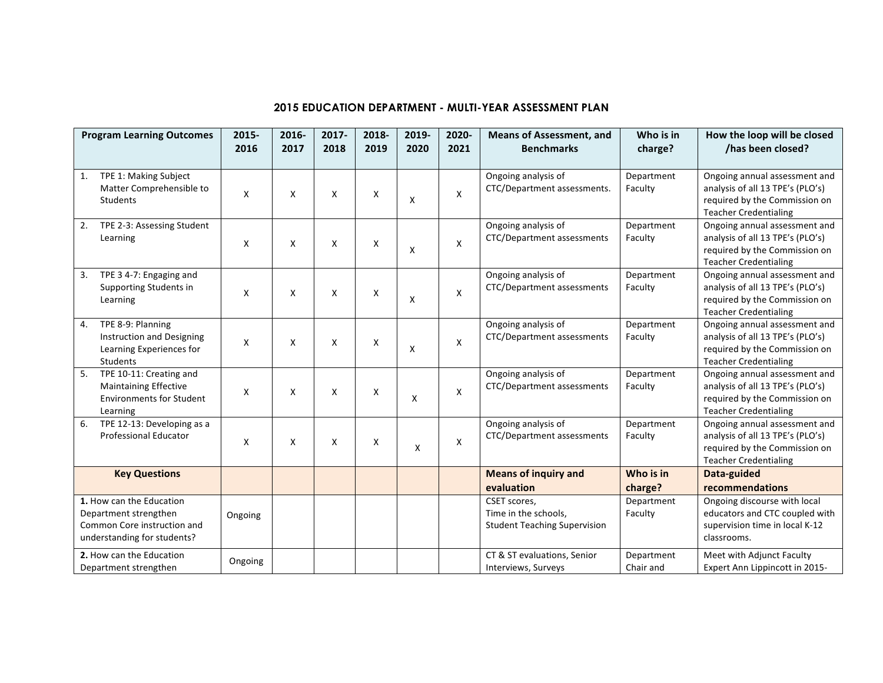## **2015 EDUCATION DEPARTMENT - MULTI-YEAR ASSESSMENT PLAN**

| <b>Program Learning Outcomes</b>                                                                                                            | 2015-<br>2016 | 2016-<br>2017 | 2017-<br>2018             | 2018-<br>2019 | 2019-<br>2020 | 2020-<br>2021 | <b>Means of Assessment, and</b><br><b>Benchmarks</b>                                                       | Who is in<br>charge?    | How the loop will be closed<br>/has been closed?                                                                                   |
|---------------------------------------------------------------------------------------------------------------------------------------------|---------------|---------------|---------------------------|---------------|---------------|---------------|------------------------------------------------------------------------------------------------------------|-------------------------|------------------------------------------------------------------------------------------------------------------------------------|
|                                                                                                                                             |               |               |                           |               |               |               |                                                                                                            |                         |                                                                                                                                    |
| TPE 1: Making Subject<br>1.<br>Matter Comprehensible to<br><b>Students</b>                                                                  | X             | X             | X                         | X             | X             | X             | Ongoing analysis of<br>CTC/Department assessments.                                                         | Department<br>Faculty   | Ongoing annual assessment and<br>analysis of all 13 TPE's (PLO's)<br>required by the Commission on<br><b>Teacher Credentialing</b> |
| 2.<br>TPE 2-3: Assessing Student<br>Learning                                                                                                | X             | X             | X                         | X             | X             | X             | Ongoing analysis of<br>CTC/Department assessments                                                          | Department<br>Faculty   | Ongoing annual assessment and<br>analysis of all 13 TPE's (PLO's)<br>required by the Commission on<br><b>Teacher Credentialing</b> |
| TPE 3 4-7: Engaging and<br>3.<br>Supporting Students in<br>Learning                                                                         | X             | X             | $\mathsf{x}$              | X             | X             | X             | Ongoing analysis of<br>CTC/Department assessments                                                          | Department<br>Faculty   | Ongoing annual assessment and<br>analysis of all 13 TPE's (PLO's)<br>required by the Commission on<br><b>Teacher Credentialing</b> |
| TPE 8-9: Planning<br>4.<br>Instruction and Designing<br>Learning Experiences for<br><b>Students</b>                                         | X             | X             | $\mathsf{x}$              | X             | X             | X             | Ongoing analysis of<br>CTC/Department assessments                                                          | Department<br>Faculty   | Ongoing annual assessment and<br>analysis of all 13 TPE's (PLO's)<br>required by the Commission on<br><b>Teacher Credentialing</b> |
| 5.<br>TPE 10-11: Creating and<br><b>Maintaining Effective</b><br><b>Environments for Student</b><br>Learning                                | X             | X             | $\mathsf{x}$              | X             | X             | X             | Ongoing analysis of<br>CTC/Department assessments                                                          | Department<br>Faculty   | Ongoing annual assessment and<br>analysis of all 13 TPE's (PLO's)<br>required by the Commission on<br><b>Teacher Credentialing</b> |
| 6.<br>TPE 12-13: Developing as a<br>Professional Educator                                                                                   | X             | X             | $\boldsymbol{\mathsf{X}}$ | X             | X             | X             | Ongoing analysis of<br>CTC/Department assessments                                                          | Department<br>Faculty   | Ongoing annual assessment and<br>analysis of all 13 TPE's (PLO's)<br>required by the Commission on<br><b>Teacher Credentialing</b> |
| <b>Key Questions</b>                                                                                                                        |               |               |                           |               |               |               | <b>Means of inquiry and</b><br>evaluation                                                                  | Who is in<br>charge?    | Data-guided<br>recommendations                                                                                                     |
| 1. How can the Education<br>Department strengthen<br>Common Core instruction and<br>understanding for students?<br>2. How can the Education | Ongoing       |               |                           |               |               |               | CSET scores,<br>Time in the schools,<br><b>Student Teaching Supervision</b><br>CT & ST evaluations, Senior | Department<br>Faculty   | Ongoing discourse with local<br>educators and CTC coupled with<br>supervision time in local K-12<br>classrooms.                    |
| Department strengthen                                                                                                                       | Ongoing       |               |                           |               |               |               | Interviews, Surveys                                                                                        | Department<br>Chair and | Meet with Adjunct Faculty<br>Expert Ann Lippincott in 2015-                                                                        |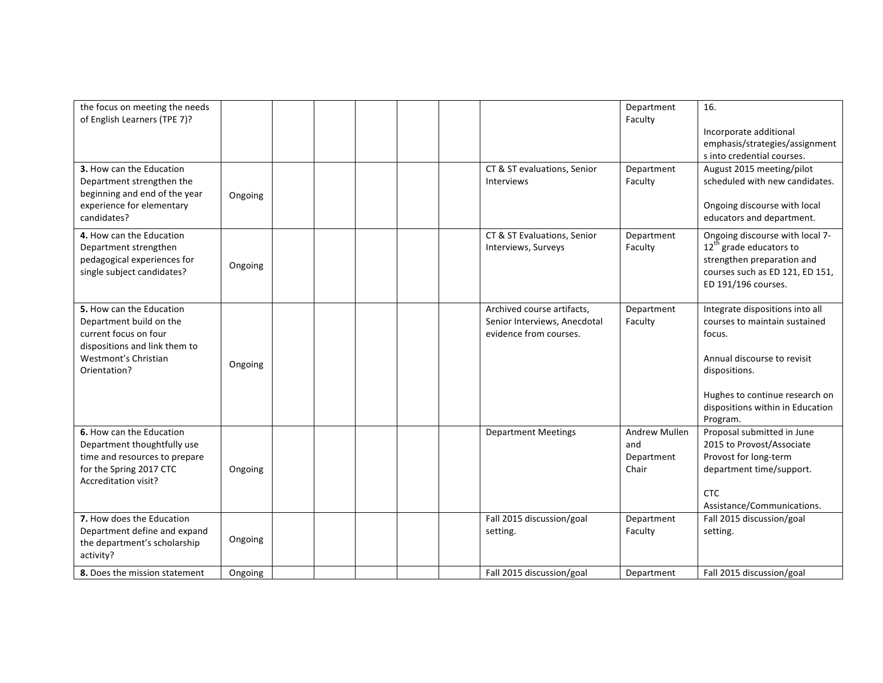| the focus on meeting the needs<br>of English Learners (TPE 7)?<br>3. How can the Education<br>Department strengthen the<br>beginning and end of the year<br>experience for elementary | Ongoing |  |  | CT & ST evaluations, Senior<br>Interviews                                            | Department<br>Faculty<br>Department<br>Faculty     | 16.<br>Incorporate additional<br>emphasis/strategies/assignment<br>s into credential courses.<br>August 2015 meeting/pilot<br>scheduled with new candidates.<br>Ongoing discourse with local                 |
|---------------------------------------------------------------------------------------------------------------------------------------------------------------------------------------|---------|--|--|--------------------------------------------------------------------------------------|----------------------------------------------------|--------------------------------------------------------------------------------------------------------------------------------------------------------------------------------------------------------------|
| candidates?<br>4. How can the Education<br>Department strengthen<br>pedagogical experiences for<br>single subject candidates?                                                         | Ongoing |  |  | CT & ST Evaluations, Senior<br>Interviews, Surveys                                   | Department<br>Faculty                              | educators and department.<br>Ongoing discourse with local 7-<br>12 <sup>th</sup> grade educators to<br>strengthen preparation and<br>courses such as ED 121, ED 151,<br>ED 191/196 courses.                  |
| 5. How can the Education<br>Department build on the<br>current focus on four<br>dispositions and link them to<br>Westmont's Christian<br>Orientation?                                 | Ongoing |  |  | Archived course artifacts,<br>Senior Interviews, Anecdotal<br>evidence from courses. | Department<br>Faculty                              | Integrate dispositions into all<br>courses to maintain sustained<br>focus.<br>Annual discourse to revisit<br>dispositions.<br>Hughes to continue research on<br>dispositions within in Education<br>Program. |
| 6. How can the Education<br>Department thoughtfully use<br>time and resources to prepare<br>for the Spring 2017 CTC<br>Accreditation visit?                                           | Ongoing |  |  | <b>Department Meetings</b>                                                           | <b>Andrew Mullen</b><br>and<br>Department<br>Chair | Proposal submitted in June<br>2015 to Provost/Associate<br>Provost for long-term<br>department time/support.<br><b>CTC</b><br>Assistance/Communications.                                                     |
| 7. How does the Education<br>Department define and expand<br>the department's scholarship<br>activity?                                                                                | Ongoing |  |  | Fall 2015 discussion/goal<br>setting.                                                | Department<br>Faculty                              | Fall 2015 discussion/goal<br>setting.                                                                                                                                                                        |
| 8. Does the mission statement                                                                                                                                                         | Ongoing |  |  | Fall 2015 discussion/goal                                                            | Department                                         | Fall 2015 discussion/goal                                                                                                                                                                                    |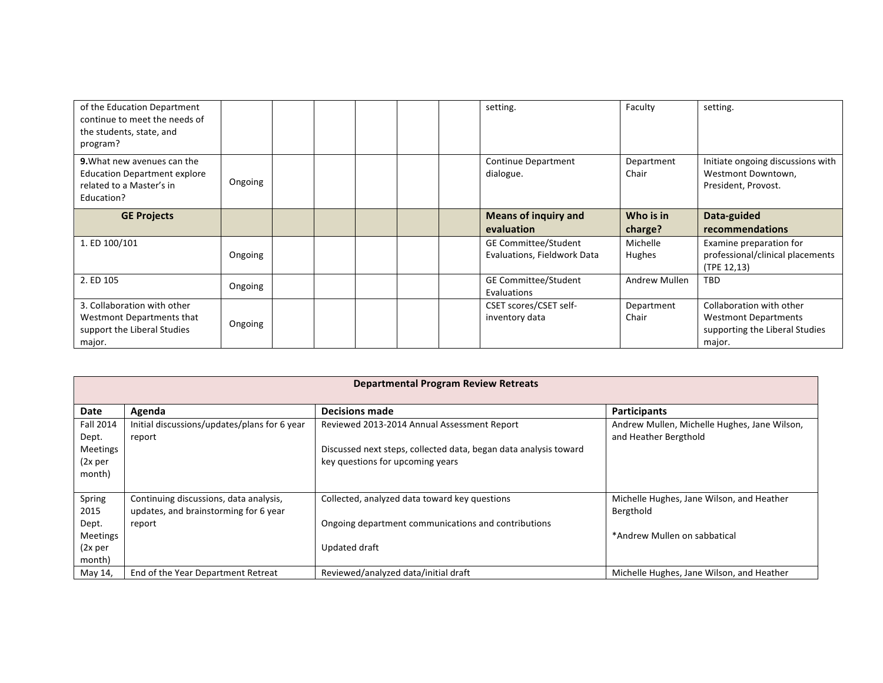| of the Education Department<br>continue to meet the needs of<br>the students, state, and<br>program?                |         |  |  | setting.                                                   | Faculty              | setting.                                                                                            |
|---------------------------------------------------------------------------------------------------------------------|---------|--|--|------------------------------------------------------------|----------------------|-----------------------------------------------------------------------------------------------------|
| <b>9.</b> What new avenues can the<br><b>Education Department explore</b><br>related to a Master's in<br>Education? | Ongoing |  |  | Continue Department<br>dialogue.                           | Department<br>Chair  | Initiate ongoing discussions with<br>Westmont Downtown,<br>President, Provost.                      |
| <b>GE Projects</b>                                                                                                  |         |  |  | <b>Means of inquiry and</b><br>evaluation                  | Who is in<br>charge? | Data-guided<br>recommendations                                                                      |
| 1. ED 100/101                                                                                                       | Ongoing |  |  | <b>GE Committee/Student</b><br>Evaluations, Fieldwork Data | Michelle<br>Hughes   | Examine preparation for<br>professional/clinical placements<br>(TPE 12,13)                          |
| 2. ED 105                                                                                                           | Ongoing |  |  | <b>GE Committee/Student</b><br>Evaluations                 | Andrew Mullen        | <b>TBD</b>                                                                                          |
| 3. Collaboration with other<br>Westmont Departments that<br>support the Liberal Studies<br>major.                   | Ongoing |  |  | CSET scores/CSET self-<br>inventory data                   | Department<br>Chair  | Collaboration with other<br><b>Westmont Departments</b><br>supporting the Liberal Studies<br>major. |

| <b>Departmental Program Review Retreats</b> |                                              |                                                                  |                                              |  |  |  |  |  |  |
|---------------------------------------------|----------------------------------------------|------------------------------------------------------------------|----------------------------------------------|--|--|--|--|--|--|
|                                             |                                              |                                                                  |                                              |  |  |  |  |  |  |
| Date                                        | Agenda                                       | <b>Decisions made</b>                                            | Participants                                 |  |  |  |  |  |  |
| <b>Fall 2014</b>                            | Initial discussions/updates/plans for 6 year | Reviewed 2013-2014 Annual Assessment Report                      | Andrew Mullen, Michelle Hughes, Jane Wilson, |  |  |  |  |  |  |
| Dept.                                       | report                                       |                                                                  | and Heather Bergthold                        |  |  |  |  |  |  |
| Meetings                                    |                                              | Discussed next steps, collected data, began data analysis toward |                                              |  |  |  |  |  |  |
| (2x per                                     |                                              | key questions for upcoming years                                 |                                              |  |  |  |  |  |  |
| month)                                      |                                              |                                                                  |                                              |  |  |  |  |  |  |
|                                             |                                              |                                                                  |                                              |  |  |  |  |  |  |
| Spring                                      | Continuing discussions, data analysis,       | Collected, analyzed data toward key questions                    | Michelle Hughes, Jane Wilson, and Heather    |  |  |  |  |  |  |
| 2015                                        | updates, and brainstorming for 6 year        |                                                                  | Bergthold                                    |  |  |  |  |  |  |
| Dept.                                       | report                                       | Ongoing department communications and contributions              |                                              |  |  |  |  |  |  |
| Meetings                                    |                                              |                                                                  | *Andrew Mullen on sabbatical                 |  |  |  |  |  |  |
| (2x per                                     |                                              | Updated draft                                                    |                                              |  |  |  |  |  |  |
| month)                                      |                                              |                                                                  |                                              |  |  |  |  |  |  |
| May 14,                                     | End of the Year Department Retreat           | Reviewed/analyzed data/initial draft                             | Michelle Hughes, Jane Wilson, and Heather    |  |  |  |  |  |  |